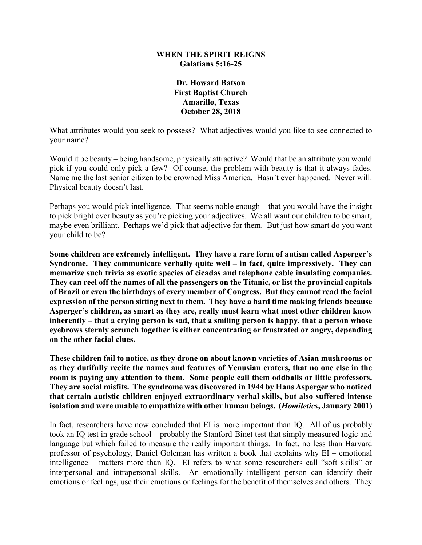### **WHEN THE SPIRIT REIGNS Galatians 5:16-25**

### **Dr. Howard Batson First Baptist Church Amarillo, Texas October 28, 2018**

What attributes would you seek to possess? What adjectives would you like to see connected to your name?

Would it be beauty – being handsome, physically attractive? Would that be an attribute you would pick if you could only pick a few? Of course, the problem with beauty is that it always fades. Name me the last senior citizen to be crowned Miss America. Hasn't ever happened. Never will. Physical beauty doesn't last.

Perhaps you would pick intelligence. That seems noble enough – that you would have the insight to pick bright over beauty as you're picking your adjectives. We all want our children to be smart, maybe even brilliant. Perhaps we'd pick that adjective for them. But just how smart do you want your child to be?

**Some children are extremely intelligent. They have a rare form of autism called Asperger's Syndrome. They communicate verbally quite well – in fact, quite impressively. They can memorize such trivia as exotic species of cicadas and telephone cable insulating companies. They can reel off the names of all the passengers on the Titanic, or list the provincial capitals of Brazil or even the birthdays of every member of Congress. But they cannot read the facial expression of the person sitting next to them. They have a hard time making friends because Asperger's children, as smart as they are, really must learn what most other children know inherently – that a crying person is sad, that a smiling person is happy, that a person whose eyebrows sternly scrunch together is either concentrating or frustrated or angry, depending on the other facial clues.**

**These children fail to notice, as they drone on about known varieties of Asian mushrooms or as they dutifully recite the names and features of Venusian craters, that no one else in the room is paying any attention to them. Some people call them oddballs or little professors. They are social misfits. The syndrome was discovered in 1944 by Hans Asperger who noticed that certain autistic children enjoyed extraordinary verbal skills, but also suffered intense isolation and were unable to empathize with other human beings. (***Homiletics***, January 2001)**

In fact, researchers have now concluded that EI is more important than IQ. All of us probably took an IQ test in grade school – probably the Stanford-Binet test that simply measured logic and language but which failed to measure the really important things. In fact, no less than Harvard professor of psychology, Daniel Goleman has written a book that explains why EI – emotional intelligence – matters more than IQ. EI refers to what some researchers call "soft skills" or interpersonal and intrapersonal skills. An emotionally intelligent person can identify their emotions or feelings, use their emotions or feelings for the benefit of themselves and others. They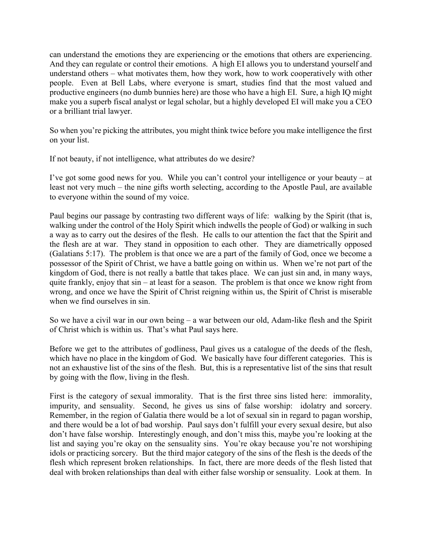can understand the emotions they are experiencing or the emotions that others are experiencing. And they can regulate or control their emotions. A high EI allows you to understand yourself and understand others – what motivates them, how they work, how to work cooperatively with other people. Even at Bell Labs, where everyone is smart, studies find that the most valued and productive engineers (no dumb bunnies here) are those who have a high EI. Sure, a high IQ might make you a superb fiscal analyst or legal scholar, but a highly developed EI will make you a CEO or a brilliant trial lawyer.

So when you're picking the attributes, you might think twice before you make intelligence the first on your list.

If not beauty, if not intelligence, what attributes do we desire?

I've got some good news for you. While you can't control your intelligence or your beauty – at least not very much – the nine gifts worth selecting, according to the Apostle Paul, are available to everyone within the sound of my voice.

Paul begins our passage by contrasting two different ways of life: walking by the Spirit (that is, walking under the control of the Holy Spirit which indwells the people of God) or walking in such a way as to carry out the desires of the flesh. He calls to our attention the fact that the Spirit and the flesh are at war. They stand in opposition to each other. They are diametrically opposed (Galatians 5:17). The problem is that once we are a part of the family of God, once we become a possessor of the Spirit of Christ, we have a battle going on within us. When we're not part of the kingdom of God, there is not really a battle that takes place. We can just sin and, in many ways, quite frankly, enjoy that sin – at least for a season. The problem is that once we know right from wrong, and once we have the Spirit of Christ reigning within us, the Spirit of Christ is miserable when we find ourselves in sin.

So we have a civil war in our own being – a war between our old, Adam-like flesh and the Spirit of Christ which is within us. That's what Paul says here.

Before we get to the attributes of godliness, Paul gives us a catalogue of the deeds of the flesh, which have no place in the kingdom of God. We basically have four different categories. This is not an exhaustive list of the sins of the flesh. But, this is a representative list of the sins that result by going with the flow, living in the flesh.

First is the category of sexual immorality. That is the first three sins listed here: immorality, impurity, and sensuality. Second, he gives us sins of false worship: idolatry and sorcery. Remember, in the region of Galatia there would be a lot of sexual sin in regard to pagan worship, and there would be a lot of bad worship. Paul says don't fulfill your every sexual desire, but also don't have false worship. Interestingly enough, and don't miss this, maybe you're looking at the list and saying you're okay on the sensuality sins. You're okay because you're not worshiping idols or practicing sorcery. But the third major category of the sins of the flesh is the deeds of the flesh which represent broken relationships. In fact, there are more deeds of the flesh listed that deal with broken relationships than deal with either false worship or sensuality. Look at them. In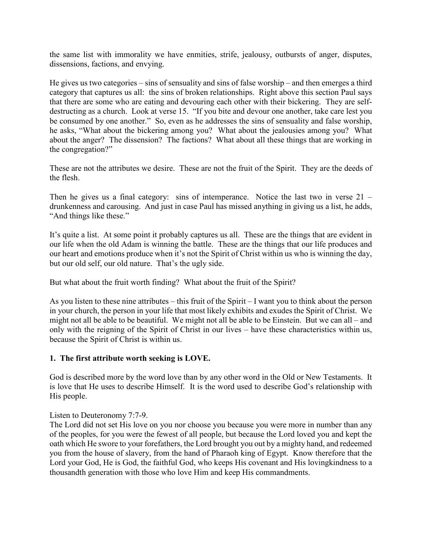the same list with immorality we have enmities, strife, jealousy, outbursts of anger, disputes, dissensions, factions, and envying.

He gives us two categories – sins of sensuality and sins of false worship – and then emerges a third category that captures us all: the sins of broken relationships. Right above this section Paul says that there are some who are eating and devouring each other with their bickering. They are selfdestructing as a church. Look at verse 15. "If you bite and devour one another, take care lest you be consumed by one another." So, even as he addresses the sins of sensuality and false worship, he asks, "What about the bickering among you? What about the jealousies among you? What about the anger? The dissension? The factions? What about all these things that are working in the congregation?"

These are not the attributes we desire. These are not the fruit of the Spirit. They are the deeds of the flesh.

Then he gives us a final category: sins of intemperance. Notice the last two in verse 21 – drunkenness and carousing. And just in case Paul has missed anything in giving us a list, he adds, "And things like these."

It's quite a list. At some point it probably captures us all. These are the things that are evident in our life when the old Adam is winning the battle. These are the things that our life produces and our heart and emotions produce when it's not the Spirit of Christ within us who is winning the day, but our old self, our old nature. That's the ugly side.

But what about the fruit worth finding? What about the fruit of the Spirit?

As you listen to these nine attributes – this fruit of the Spirit – I want you to think about the person in your church, the person in your life that most likely exhibits and exudes the Spirit of Christ. We might not all be able to be beautiful. We might not all be able to be Einstein. But we can all – and only with the reigning of the Spirit of Christ in our lives – have these characteristics within us, because the Spirit of Christ is within us.

# **1. The first attribute worth seeking is LOVE.**

God is described more by the word love than by any other word in the Old or New Testaments. It is love that He uses to describe Himself. It is the word used to describe God's relationship with His people.

### Listen to Deuteronomy 7:7-9.

The Lord did not set His love on you nor choose you because you were more in number than any of the peoples, for you were the fewest of all people, but because the Lord loved you and kept the oath which He swore to your forefathers, the Lord brought you out by a mighty hand, and redeemed you from the house of slavery, from the hand of Pharaoh king of Egypt. Know therefore that the Lord your God, He is God, the faithful God, who keeps His covenant and His lovingkindness to a thousandth generation with those who love Him and keep His commandments.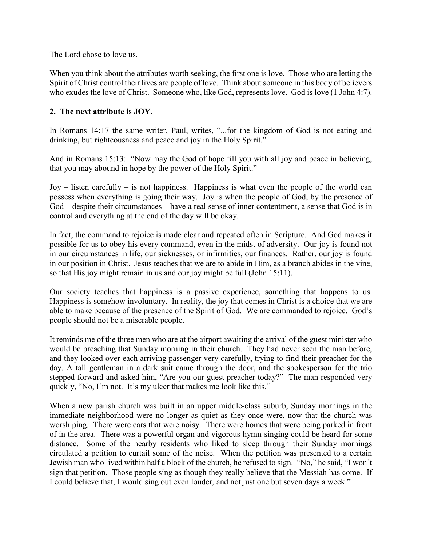The Lord chose to love us.

When you think about the attributes worth seeking, the first one is love. Those who are letting the Spirit of Christ control their lives are people of love. Think about someone in this body of believers who exudes the love of Christ. Someone who, like God, represents love. God is love (1 John 4:7).

# **2. The next attribute is JOY.**

In Romans 14:17 the same writer, Paul, writes, "...for the kingdom of God is not eating and drinking, but righteousness and peace and joy in the Holy Spirit."

And in Romans 15:13: "Now may the God of hope fill you with all joy and peace in believing, that you may abound in hope by the power of the Holy Spirit."

Joy – listen carefully – is not happiness. Happiness is what even the people of the world can possess when everything is going their way. Joy is when the people of God, by the presence of God – despite their circumstances – have a real sense of inner contentment, a sense that God is in control and everything at the end of the day will be okay.

In fact, the command to rejoice is made clear and repeated often in Scripture. And God makes it possible for us to obey his every command, even in the midst of adversity. Our joy is found not in our circumstances in life, our sicknesses, or infirmities, our finances. Rather, our joy is found in our position in Christ. Jesus teaches that we are to abide in Him, as a branch abides in the vine, so that His joy might remain in us and our joy might be full (John 15:11).

Our society teaches that happiness is a passive experience, something that happens to us. Happiness is somehow involuntary. In reality, the joy that comes in Christ is a choice that we are able to make because of the presence of the Spirit of God. We are commanded to rejoice. God's people should not be a miserable people.

It reminds me of the three men who are at the airport awaiting the arrival of the guest minister who would be preaching that Sunday morning in their church. They had never seen the man before, and they looked over each arriving passenger very carefully, trying to find their preacher for the day. A tall gentleman in a dark suit came through the door, and the spokesperson for the trio stepped forward and asked him, "Are you our guest preacher today?" The man responded very quickly, "No, I'm not. It's my ulcer that makes me look like this."

When a new parish church was built in an upper middle-class suburb, Sunday mornings in the immediate neighborhood were no longer as quiet as they once were, now that the church was worshiping. There were cars that were noisy. There were homes that were being parked in front of in the area. There was a powerful organ and vigorous hymn-singing could be heard for some distance. Some of the nearby residents who liked to sleep through their Sunday mornings circulated a petition to curtail some of the noise. When the petition was presented to a certain Jewish man who lived within half a block of the church, he refused to sign. "No," he said, "I won't sign that petition. Those people sing as though they really believe that the Messiah has come. If I could believe that, I would sing out even louder, and not just one but seven days a week."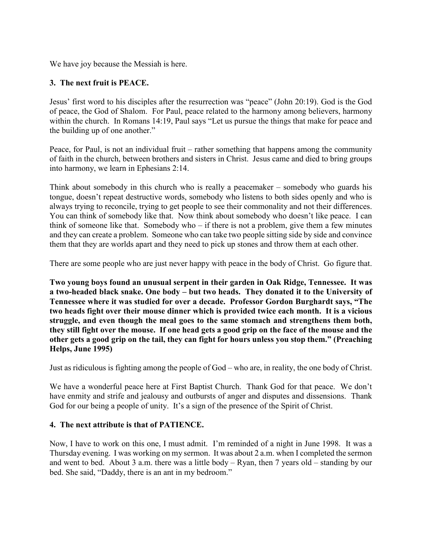We have joy because the Messiah is here.

# **3. The next fruit is PEACE.**

Jesus' first word to his disciples after the resurrection was "peace" (John 20:19). God is the God of peace, the God of Shalom. For Paul, peace related to the harmony among believers, harmony within the church. In Romans 14:19, Paul says "Let us pursue the things that make for peace and the building up of one another."

Peace, for Paul, is not an individual fruit – rather something that happens among the community of faith in the church, between brothers and sisters in Christ. Jesus came and died to bring groups into harmony, we learn in Ephesians 2:14.

Think about somebody in this church who is really a peacemaker – somebody who guards his tongue, doesn't repeat destructive words, somebody who listens to both sides openly and who is always trying to reconcile, trying to get people to see their commonality and not their differences. You can think of somebody like that. Now think about somebody who doesn't like peace. I can think of someone like that. Somebody who – if there is not a problem, give them a few minutes and they can create a problem. Someone who can take two people sitting side by side and convince them that they are worlds apart and they need to pick up stones and throw them at each other.

There are some people who are just never happy with peace in the body of Christ. Go figure that.

**Two young boys found an unusual serpent in their garden in Oak Ridge, Tennessee. It was a two-headed black snake. One body – but two heads. They donated it to the University of Tennessee where it was studied for over a decade. Professor Gordon Burghardt says, "The two heads fight over their mouse dinner which is provided twice each month. It is a vicious struggle, and even though the meal goes to the same stomach and strengthens them both, they still fight over the mouse. If one head gets a good grip on the face of the mouse and the other gets a good grip on the tail, they can fight for hours unless you stop them." (Preaching Helps, June 1995)**

Just as ridiculous is fighting among the people of God – who are, in reality, the one body of Christ.

We have a wonderful peace here at First Baptist Church. Thank God for that peace. We don't have enmity and strife and jealousy and outbursts of anger and disputes and dissensions. Thank God for our being a people of unity. It's a sign of the presence of the Spirit of Christ.

### **4. The next attribute is that of PATIENCE.**

Now, I have to work on this one, I must admit. I'm reminded of a night in June 1998. It was a Thursday evening. I was working on my sermon. It was about 2 a.m. when I completed the sermon and went to bed. About 3 a.m. there was a little body – Ryan, then 7 years old – standing by our bed. She said, "Daddy, there is an ant in my bedroom."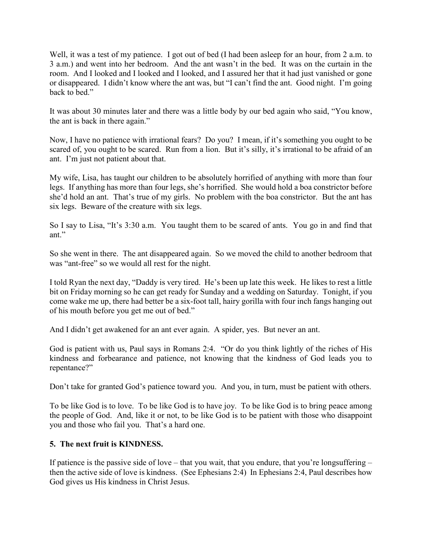Well, it was a test of my patience. I got out of bed (I had been asleep for an hour, from 2 a.m. to 3 a.m.) and went into her bedroom. And the ant wasn't in the bed. It was on the curtain in the room. And I looked and I looked and I looked, and I assured her that it had just vanished or gone or disappeared. I didn't know where the ant was, but "I can't find the ant. Good night. I'm going back to bed."

It was about 30 minutes later and there was a little body by our bed again who said, "You know, the ant is back in there again."

Now, I have no patience with irrational fears? Do you? I mean, if it's something you ought to be scared of, you ought to be scared. Run from a lion. But it's silly, it's irrational to be afraid of an ant. I'm just not patient about that.

My wife, Lisa, has taught our children to be absolutely horrified of anything with more than four legs. If anything has more than four legs, she's horrified. She would hold a boa constrictor before she'd hold an ant. That's true of my girls. No problem with the boa constrictor. But the ant has six legs. Beware of the creature with six legs.

So I say to Lisa, "It's 3:30 a.m. You taught them to be scared of ants. You go in and find that ant."

So she went in there. The ant disappeared again. So we moved the child to another bedroom that was "ant-free" so we would all rest for the night.

I told Ryan the next day, "Daddy is very tired. He's been up late this week. He likes to rest a little bit on Friday morning so he can get ready for Sunday and a wedding on Saturday. Tonight, if you come wake me up, there had better be a six-foot tall, hairy gorilla with four inch fangs hanging out of his mouth before you get me out of bed."

And I didn't get awakened for an ant ever again. A spider, yes. But never an ant.

God is patient with us, Paul says in Romans 2:4. "Or do you think lightly of the riches of His kindness and forbearance and patience, not knowing that the kindness of God leads you to repentance?"

Don't take for granted God's patience toward you. And you, in turn, must be patient with others.

To be like God is to love. To be like God is to have joy. To be like God is to bring peace among the people of God. And, like it or not, to be like God is to be patient with those who disappoint you and those who fail you. That's a hard one.

# **5. The next fruit is KINDNESS.**

If patience is the passive side of love – that you wait, that you endure, that you're longsuffering – then the active side of love is kindness. (See Ephesians 2:4) In Ephesians 2:4, Paul describes how God gives us His kindness in Christ Jesus.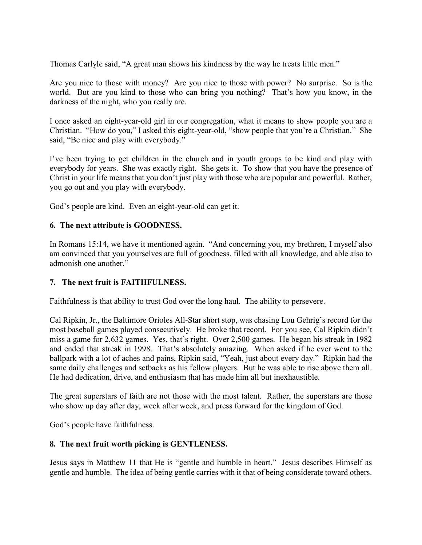Thomas Carlyle said, "A great man shows his kindness by the way he treats little men."

Are you nice to those with money? Are you nice to those with power? No surprise. So is the world. But are you kind to those who can bring you nothing? That's how you know, in the darkness of the night, who you really are.

I once asked an eight-year-old girl in our congregation, what it means to show people you are a Christian. "How do you," I asked this eight-year-old, "show people that you're a Christian." She said, "Be nice and play with everybody."

I've been trying to get children in the church and in youth groups to be kind and play with everybody for years. She was exactly right. She gets it. To show that you have the presence of Christ in your life means that you don't just play with those who are popular and powerful. Rather, you go out and you play with everybody.

God's people are kind. Even an eight-year-old can get it.

# **6. The next attribute is GOODNESS.**

In Romans 15:14, we have it mentioned again. "And concerning you, my brethren, I myself also am convinced that you yourselves are full of goodness, filled with all knowledge, and able also to admonish one another."

### **7. The next fruit is FAITHFULNESS.**

Faithfulness is that ability to trust God over the long haul. The ability to persevere.

Cal Ripkin, Jr., the Baltimore Orioles All-Star short stop, was chasing Lou Gehrig's record for the most baseball games played consecutively. He broke that record. For you see, Cal Ripkin didn't miss a game for 2,632 games. Yes, that's right. Over 2,500 games. He began his streak in 1982 and ended that streak in 1998. That's absolutely amazing. When asked if he ever went to the ballpark with a lot of aches and pains, Ripkin said, "Yeah, just about every day." Ripkin had the same daily challenges and setbacks as his fellow players. But he was able to rise above them all. He had dedication, drive, and enthusiasm that has made him all but inexhaustible.

The great superstars of faith are not those with the most talent. Rather, the superstars are those who show up day after day, week after week, and press forward for the kingdom of God.

God's people have faithfulness.

# **8. The next fruit worth picking is GENTLENESS.**

Jesus says in Matthew 11 that He is "gentle and humble in heart." Jesus describes Himself as gentle and humble. The idea of being gentle carries with it that of being considerate toward others.